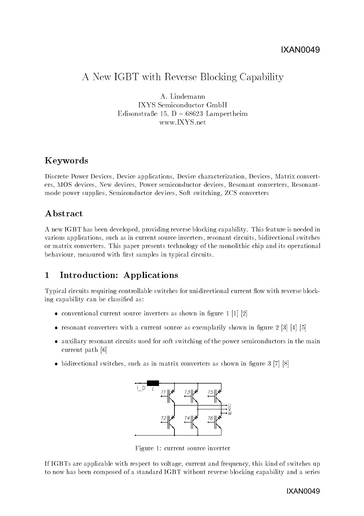# A New IGBT with Reverse Blocking Capability

A. Lindemann IXYS Semiconductor GmbH Edisonstraße 15, D  $-68623$  Lampertheim www.IXYS.net

## Keywords

Discrete Power Devices, Device applications, Device characterization, Devices, Matrix converters, MOS devices, New devices, Power semiconductor devices, Resonant converters, Resonantmode power supplies, Semiconductor devices, Soft switching, ZCS converters

## Abstract

A new IGBT has been developed, providing reverse blocking capability. This feature is needed in various applications, such as in current source inverters, resonant circuits, bidirectional switches or matrix converters. This paper presents technology of the monolithic chip and its operational behaviour, measured with first samples in typical circuits.

#### $\mathbf{1}$ Introduction: Applications

Typical circuits requiring controllable switches for unidirectional current flow with reverse blocking capability can be classied as:

- conventional current source inverters as shown in figure  $1$  [1] [2]
- resonant converters with a current source as exemplarily shown in figure  $2 \binom{3}{4} \binom{4}{5}$
- auxiliary resonant circuits used for soft switching of the power semiconductors in the main current path [6]
- bidirectional switches, such as in matrix converters as shown in figure  $3 \times 7$  [8]



Figure 1: current source inverter

If IGBTs are applicable with respect to voltage, current and frequency, this kind of switches up to now has been composed of a standard IGBT without reverse blocking capability and a series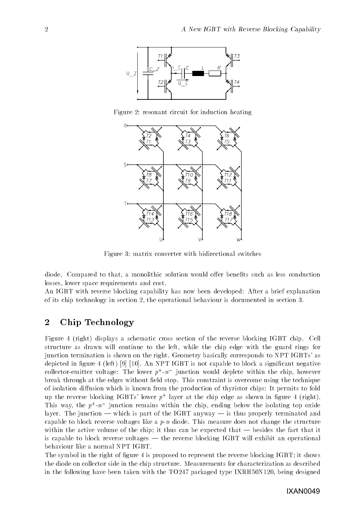

Figure 2: resonant circuit for induction heating



Figure 3: matrix converter with bidirectional switches

diode. Compared to that, a monolithic solution would offer benefits such as less conduction losses, lower space requirements and cost.

An IGBT with reverse blocking capability has now been developed: After a brief explanation of its chip technology in section 2, the operational behaviour is documented in section 3.

## 2 Chip Technology

Figure 4 (right) displays a schematic cross section of the reverse blocking IGBT chip. Cell structure as drawn will continue to the left, while the chip edge with the guard rings for junction termination is shown on the right. Geometry basically corresponds to NPT IGBTs' as depicted in figure 4 (left) [9] [10]. An NPT IGBT is not capable to block a significant negative collector-emitter voltage: The lower  $p+u$  - function would deplete within the chip, however break through at the edges without field stop. This constraint is overcome using the technique of isolation diffusion which is known from the production of thyristor chips: It permits to fold up the reverse blocking IGBTs' lower  $p^+$  layer at the chip edge as shown in figure 4 (right). This way, the  $p+m$  -quiliction remains within the chip, ending below the isolating top oxide layer. The junction  $-$  which is part of the IGBT anyway  $-$  is thus properly terminated and capable to block reverse voltages like a  $p-n$  diode. This measure does not change the structure within the active volume of the chip; it thus can be expected that  $-$  besides the fact that it is capable to block reverse voltages  $-$  the reverse blocking IGBT will exhibit an operational behaviour like a normal NPT IGBT.

The symbol in the right of figure 4 is proposed to represent the reverse blocking IGBT; it shows the diode on collector side in the chip structure. Measurements for characterization as described in the following have been taken with the TO247 packaged type IXRH50N120, being designed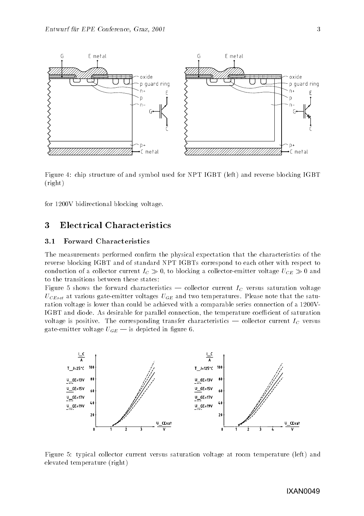

Figure 4: chip structure of and symbol used for NPT IGBT (left) and reverse blocking IGBT (right)

for 1200V bidirectional blocking voltage.

## Electrical Characteristics

#### 3.1 Forward Characteristics

The measurements performed confirm the physical expectation that the characteristics of the reverse blocking IGBT and of standard NPT IGBTs correspond to each other with respect to conduction of a collector current  $I_C \gg 0$ , to blocking a collector-emitter voltage  $U_{CE} \gg 0$  and to the transitions between these states:

Figure 5 shows the forward characteristics — collector current  $I_C$  versus saturation voltage  $U_{CEsat}$  at various gate-emitter voltages  $U_{GE}$  and two temperatures. Please note that the saturation voltage is lower than could be achieved with a comparable series connection of a 1200V-IGBT and diode. As desirable for parallel connection, the temperature coefficient of saturation voltage is positive. The corresponding transfer characteristics  $-$  collector current  $I_C$  versus gate-emitter voltage  $U_{GE}$  — is depicted in figure 6.



Figure 5: typical collector current versus saturation voltage at room temperature (left) and elevated temperature (right)

#### IXAN0049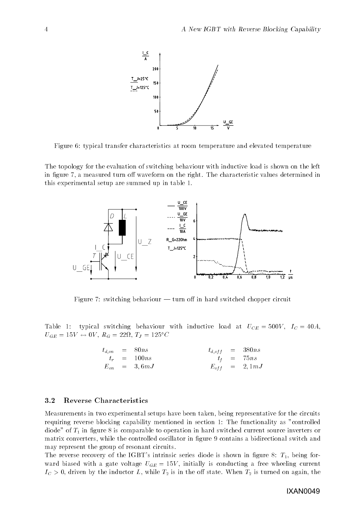

Figure 6: typical transfer characteristics at room temperature and elevated temperature

The topology for the evaluation of switching behaviour with inductive load is shown on the left in figure 7, a measured turn off waveform on the right. The characteristic values determined in this experimental setup are summed up in table 1.



Figure 7: switching behaviour  $-$  turn off in hard switched chopper circuit

Table 1: typical switching behaviour with inductive load at  $U_{CE} = 500V$ ,  $I_C = 40A$ ,  $U_{GE} = 15V \leftrightarrow 0V$ ,  $R_G = 22M$ ,  $I_J = 125$  C

|  | $t_{d,on}$ = 80ns |  | $t_{d,off}$ = 380ns |
|--|-------------------|--|---------------------|
|  | $t_r = 100ns$     |  | $t_f = 75ns$        |
|  | $E_{on}$ = 3,6mJ  |  | $E_{off}$ = 2,1mJ   |

#### 3.2 Reverse Characteristics

Measurements in two experimental setups have been taken, being representative for the circuits requiring reverse blocking capability mentioned in section 1: The functionality as "controlled diode" of  $T_1$  in figure 8 is comparable to operation in hard switched current source inverters or matrix converters, while the controlled oscillator in figure 9 contains a bidirectional switch and may represent the group of resonant circuits.

The reverse recovery of the IGBT's intrinsic series diode is shown in figure 8:  $T_1$ , being forward biased with a gate voltage  $U_{GE} = 15V$ , initially is conducting a free wheeling current  $I_c > 0$ , driven by the inductor L, while  $T_2$  is in the off state. When  $T_2$  is turned on again, the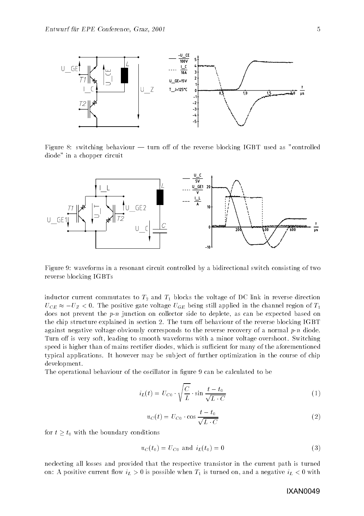

Figure 8: switching behaviour  $-$  turn off of the reverse blocking IGBT used as "controlled diode" in a chopper circuit



Figure 9: waveforms in a resonant circuit controlled by a bidirectional switch consisting of two reverse blocking IGBTs

inductor current commutates to  $T_2$  and  $T_1$  blocks the voltage of DC link in reverse direction  $U_{CE} \approx -U_Z < 0$ . The positive gate voltage  $U_{GE}$  being still applied in the channel region of  $T_1$ does not prevent the  $p-n$  junction on collector side to deplete, as can be expected based on the chip structure explained in section 2. The turn off behaviour of the reverse blocking IGBT against negative voltage obviously corresponds to the reverse recovery of a normal  $p$ -n diode. Turn off is very soft, leading to smooth waveforms with a minor voltage overshoot. Switching speed is higher than of mains rectifier diodes, which is sufficient for many of the aforementioned typical applications. It however may be sub ject of further optimization in the course of chip development.

The operational behaviour of the oscillator in figure 9 can be calculated to be

$$
i_L(t) = U_{C0} \cdot \sqrt{\frac{C}{L}} \cdot \sin \frac{t - t_0}{\sqrt{L \cdot C}}
$$
\n
$$
\tag{1}
$$

$$
u_C(t) = U_{C0} \cdot \cos \frac{t - t_0}{\sqrt{L \cdot C}}
$$
\n
$$
\tag{2}
$$

for  $t \geq t_0$  with the boundary conditions

$$
u_C(t_0) = U_{C0} \text{ and } i_L(t_0) = 0 \tag{3}
$$

neclecting all losses and provided that the respective transistor in the current path is turned on: A positive current flow  $i_L > 0$  is possible when  $T_1$  is turned on, and a negative  $i_L < 0$  with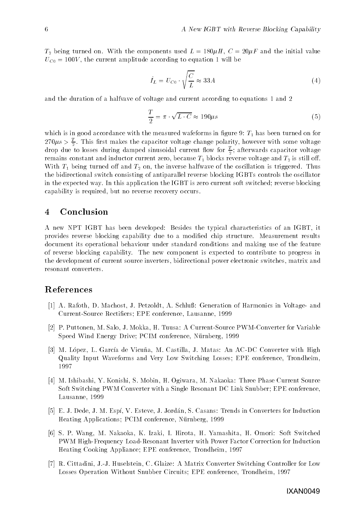$T_2$  being turned on. With the components used  $L = 180 \mu H$ ,  $C = 20 \mu F$  and the initial value  $U_{C0} = 100V$ , the current amplitude according to equation 1 will be

$$
\hat{I}_L = U_{C0} \cdot \sqrt{\frac{C}{L}} \approx 33A \tag{4}
$$

and the duration of a halfvave of voltage and current according to equations 1 and 2

$$
\frac{T}{2} = \pi \cdot \sqrt{L \cdot C} \approx 190 \mu s \tag{5}
$$

which is in good accordance with the measured wafeforms in figure 9:  $T_1$  has been turned on for  $270\mu s > \frac{1}{2}$ . This first makes the capacitor voltage change polarity, however with some voltage drop due to losses during damped sinusoidal current how for  $\frac{1}{n}$ ; afterwards capacitor voltage remains constant and inductor current zero, because T1 blocks reverse voltage and T2 is still o. With  $T_1$  being turned off and  $T_2$  on, the inverse halfwave of the oscillation is triggered. Thus the bidirectional switch consisting of antiparallel reverse blocking IGBTs controls the oscillator in the expected way. In this application the IGBT is zero current soft switched; reverse blocking capability is required, but no reverse recovery occurs.

### 4 Conclusion

A new NPT IGBT has been developed: Besides the typical characteristics of an IGBT, it provides reverse blocking capability due to a modied chip structure. Measurement results document its operational behaviour under standard conditions and making use of the feature of reverse blocking capability. The new component is expected to contribute to progress in the development of current source inverters, bidirectional power electronic switches, matrix and resonant converters.

### References

- [1] A. Rafoth, D. Machost, J. Petzoldt, A. Schluß: Generation of Harmonics in Voltage- and Current-Source Rectiers; EPE conference, Lausanne, 1999
- [2] P. Puttonen, M. Salo, J. Mokka, H. Tuusa: A Current-Source PWM-Converter for Variable Speed Wind Energy Drive; PCIM conference, Nürnberg, 1999
- [3] M. López, L. García de Vicuña, M. Castilla, J. Matas: An AC-DC Converter with High Quality Input Waveforms and Very Low Switching Losses; EPE conference, Trondheim, 1997
- [4] M. Ishibashi, Y. Konishi, S. Mobin, H. Ogiwara, M. Nakaoka: Three Phase Current Source Soft Switching PWM Converter with a Single Resonant DC Link Snubber; EPE conference, Lausanne, 1999
- [5] E. J. Dede, J. M. Espí, V. Esteve, J. Jordán, S. Casans: Trends in Converters for Induction Heating Applications; PCIM conference, Nürnberg, 1999
- [6] S. P. Wang, M. Nakaoka, K. Izaki, I. Hirota, H. Yamashita, H. Omori: Soft Switched PWM High-Frequency Load-Resonant Inverter with Power Factor Correction for Induction Heating Cooking Appliance; EPE conference, Trondheim, 1997
- [7] R. Cittadini, J.-J. Huselstein, C. Glaize: A Matrix Converter Switching Controller for Low Losses Operation Without Snubber Circuits; EPE conference, Trondheim, 1997